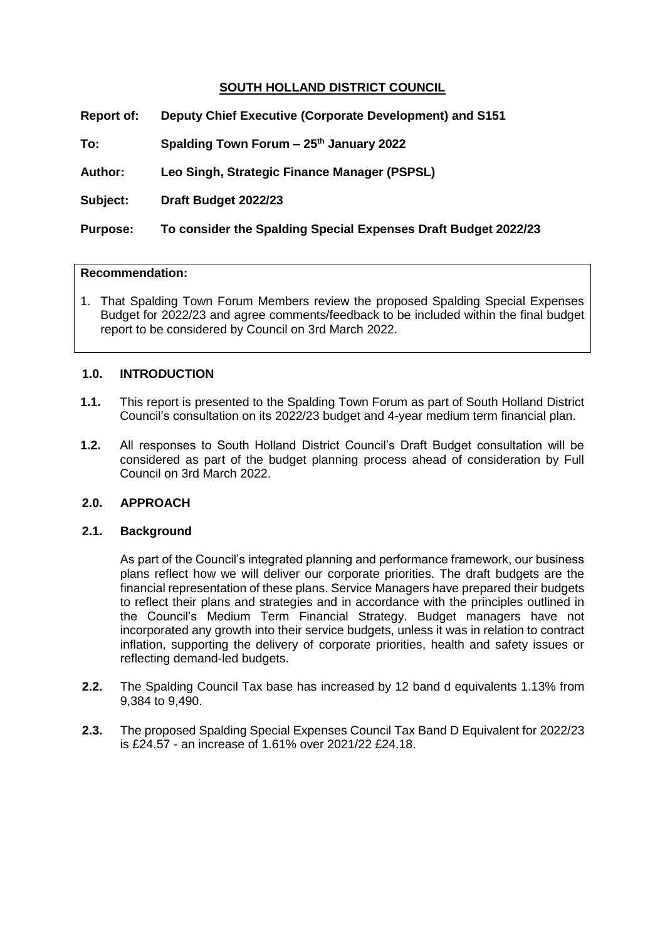## **SOUTH HOLLAND DISTRICT COUNCIL**

| <b>Report of:</b> | Deputy Chief Executive (Corporate Development) and S151        |
|-------------------|----------------------------------------------------------------|
| To:               | Spalding Town Forum - 25th January 2022                        |
| <b>Author:</b>    | Leo Singh, Strategic Finance Manager (PSPSL)                   |
| Subject:          | Draft Budget 2022/23                                           |
| <b>Purpose:</b>   | To consider the Spalding Special Expenses Draft Budget 2022/23 |
|                   |                                                                |

#### **Recommendation:**

1. That Spalding Town Forum Members review the proposed Spalding Special Expenses Budget for 2022/23 and agree comments/feedback to be included within the final budget report to be considered by Council on 3rd March 2022.

#### **1.0. INTRODUCTION**

- **1.1.** This report is presented to the Spalding Town Forum as part of South Holland District Council's consultation on its 2022/23 budget and 4-year medium term financial plan.
- **1.2.** All responses to South Holland District Council's Draft Budget consultation will be considered as part of the budget planning process ahead of consideration by Full Council on 3rd March 2022.

## **2.0. APPROACH**

#### **2.1. Background**

As part of the Council's integrated planning and performance framework, our business plans reflect how we will deliver our corporate priorities. The draft budgets are the financial representation of these plans. Service Managers have prepared their budgets to reflect their plans and strategies and in accordance with the principles outlined in the Council's Medium Term Financial Strategy. Budget managers have not incorporated any growth into their service budgets, unless it was in relation to contract inflation, supporting the delivery of corporate priorities, health and safety issues or reflecting demand-led budgets.

- **2.2.** The Spalding Council Tax base has increased by 12 band d equivalents 1.13% from 9,384 to 9,490.
- **2.3.** The proposed Spalding Special Expenses Council Tax Band D Equivalent for 2022/23 is £24.57 - an increase of 1.61% over 2021/22 £24.18.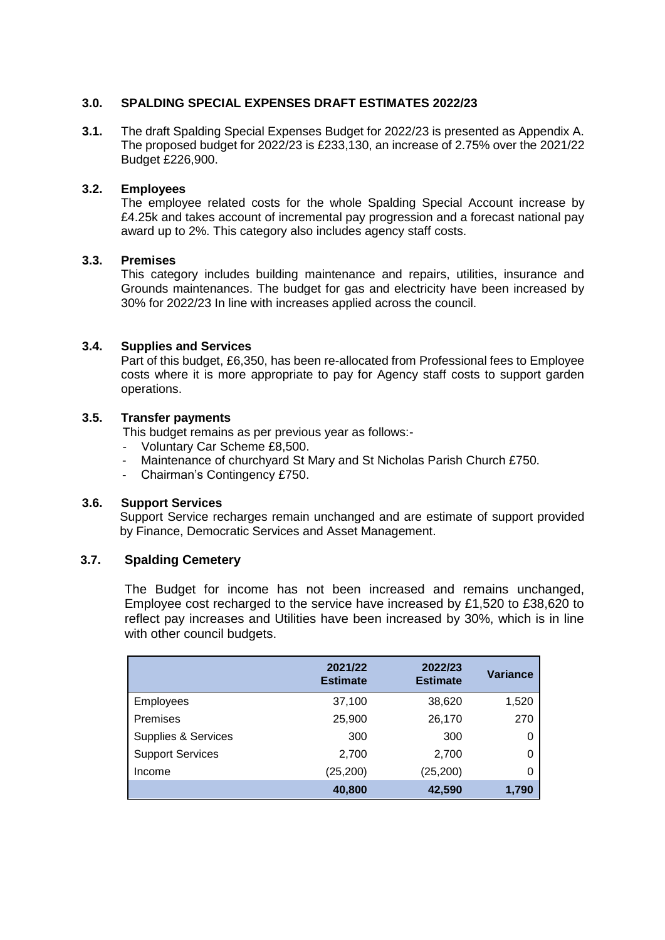## **3.0. SPALDING SPECIAL EXPENSES DRAFT ESTIMATES 2022/23**

**3.1.** The draft Spalding Special Expenses Budget for 2022/23 is presented as Appendix A. The proposed budget for 2022/23 is £233,130, an increase of 2.75% over the 2021/22 Budget £226,900.

## **3.2. Employees**

The employee related costs for the whole Spalding Special Account increase by £4.25k and takes account of incremental pay progression and a forecast national pay award up to 2%. This category also includes agency staff costs.

## **3.3. Premises**

This category includes building maintenance and repairs, utilities, insurance and Grounds maintenances. The budget for gas and electricity have been increased by 30% for 2022/23 In line with increases applied across the council.

## **3.4. Supplies and Services**

Part of this budget, £6,350, has been re-allocated from Professional fees to Employee costs where it is more appropriate to pay for Agency staff costs to support garden operations.

#### **3.5. Transfer payments**

This budget remains as per previous year as follows:-

- Voluntary Car Scheme £8,500.
- Maintenance of churchyard St Mary and St Nicholas Parish Church £750.
- Chairman's Contingency £750.

#### **3.6. Support Services**

Support Service recharges remain unchanged and are estimate of support provided by Finance, Democratic Services and Asset Management.

## **3.7. Spalding Cemetery**

The Budget for income has not been increased and remains unchanged, Employee cost recharged to the service have increased by £1,520 to £38,620 to reflect pay increases and Utilities have been increased by 30%, which is in line with other council budgets.

|                                | 2021/22<br><b>Estimate</b> | 2022/23<br><b>Estimate</b> | Variance |
|--------------------------------|----------------------------|----------------------------|----------|
| <b>Employees</b>               | 37,100                     | 38,620                     | 1,520    |
| Premises                       | 25,900                     | 26,170                     | 270      |
| <b>Supplies &amp; Services</b> | 300                        | 300                        | 0        |
| <b>Support Services</b>        | 2,700                      | 2,700                      | 0        |
| Income                         | (25, 200)                  | (25, 200)                  | 0        |
|                                | 40,800                     | 42,590                     | 1,790    |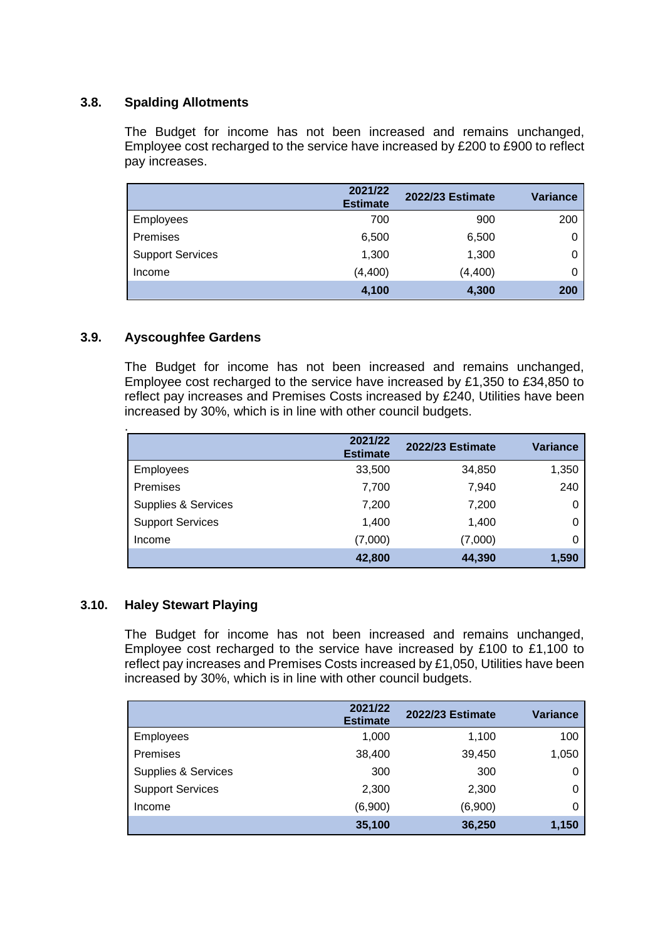## **3.8. Spalding Allotments**

The Budget for income has not been increased and remains unchanged, Employee cost recharged to the service have increased by £200 to £900 to reflect pay increases.

|                         | 2021/22<br><b>Estimate</b> | <b>2022/23 Estimate</b> | <b>Variance</b> |
|-------------------------|----------------------------|-------------------------|-----------------|
| Employees               | 700                        | 900                     | 200             |
| Premises                | 6,500                      | 6,500                   | 0               |
| <b>Support Services</b> | 1,300                      | 1,300                   |                 |
| Income                  | (4, 400)                   | (4, 400)                |                 |
|                         | 4,100                      | 4,300                   | 200             |

## **3.9. Ayscoughfee Gardens**

.

The Budget for income has not been increased and remains unchanged, Employee cost recharged to the service have increased by £1,350 to £34,850 to reflect pay increases and Premises Costs increased by £240, Utilities have been increased by 30%, which is in line with other council budgets.

|                         | 2021/22<br><b>Estimate</b> | <b>2022/23 Estimate</b> | <b>Variance</b> |
|-------------------------|----------------------------|-------------------------|-----------------|
| <b>Employees</b>        | 33,500                     | 34,850                  | 1,350           |
| Premises                | 7,700                      | 7,940                   | 240             |
| Supplies & Services     | 7,200                      | 7,200                   | 0               |
| <b>Support Services</b> | 1,400                      | 1,400                   | 0               |
| Income                  | (7,000)                    | (7,000)                 | 0               |
|                         | 42,800                     | 44,390                  | 1,590           |

## **3.10. Haley Stewart Playing**

The Budget for income has not been increased and remains unchanged, Employee cost recharged to the service have increased by £100 to £1,100 to reflect pay increases and Premises Costs increased by £1,050, Utilities have been increased by 30%, which is in line with other council budgets.

|                         | 2021/22<br><b>Estimate</b> | <b>2022/23 Estimate</b> | Variance |
|-------------------------|----------------------------|-------------------------|----------|
| <b>Employees</b>        | 1,000                      | 1,100                   | 100      |
| Premises                | 38,400                     | 39,450                  | 1,050    |
| Supplies & Services     | 300                        | 300                     | 0        |
| <b>Support Services</b> | 2,300                      | 2,300                   | 0        |
| Income                  | (6,900)                    | (6,900)                 | 0        |
|                         | 35,100                     | 36,250                  | 1,150    |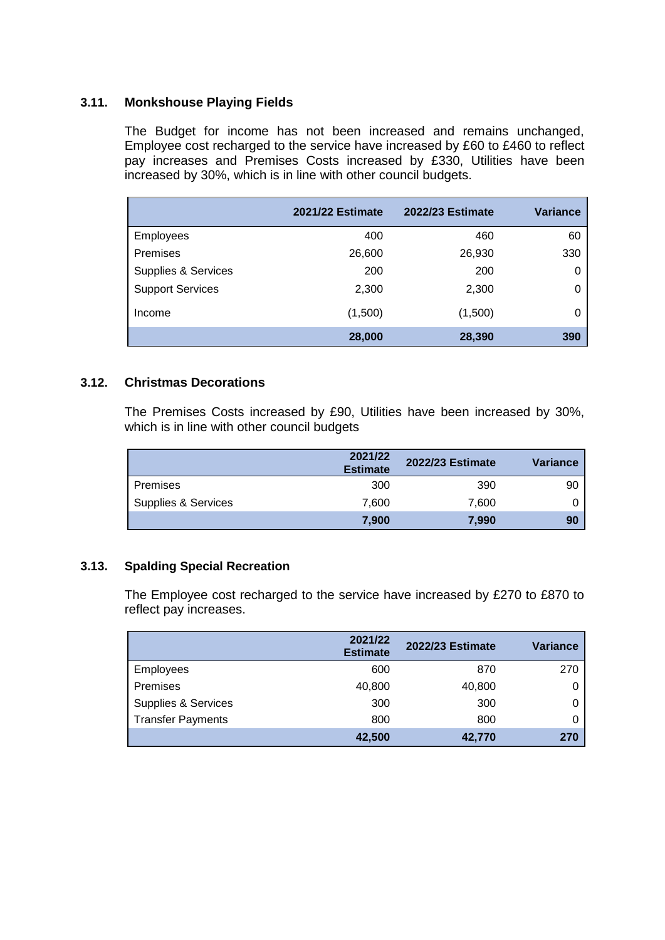## **3.11. Monkshouse Playing Fields**

The Budget for income has not been increased and remains unchanged, Employee cost recharged to the service have increased by £60 to £460 to reflect pay increases and Premises Costs increased by £330, Utilities have been increased by 30%, which is in line with other council budgets.

|                         | <b>2021/22 Estimate</b> | <b>2022/23 Estimate</b> | <b>Variance</b> |
|-------------------------|-------------------------|-------------------------|-----------------|
| Employees               | 400                     | 460                     | 60              |
| Premises                | 26,600                  | 26,930                  | 330             |
| Supplies & Services     | 200                     | 200                     | 0               |
| <b>Support Services</b> | 2,300                   | 2,300                   | 0               |
| Income                  | (1,500)                 | (1,500)                 | 0               |
|                         | 28,000                  | 28,390                  | 390             |

## **3.12. Christmas Decorations**

The Premises Costs increased by £90, Utilities have been increased by 30%, which is in line with other council budgets

|                     | 2021/22<br><b>Estimate</b> | <b>2022/23 Estimate</b> | <b>Variance</b> |
|---------------------|----------------------------|-------------------------|-----------------|
| Premises            | 300                        | 390                     | 90              |
| Supplies & Services | 7.600                      | 7,600                   |                 |
|                     | 7,900                      | 7,990                   | 90              |

## **3.13. Spalding Special Recreation**

The Employee cost recharged to the service have increased by £270 to £870 to reflect pay increases.

|                                | 2021/22<br><b>Estimate</b> | <b>2022/23 Estimate</b> | Variance |
|--------------------------------|----------------------------|-------------------------|----------|
| Employees                      | 600                        | 870                     | 270      |
| Premises                       | 40,800                     | 40,800                  |          |
| <b>Supplies &amp; Services</b> | 300                        | 300                     |          |
| <b>Transfer Payments</b>       | 800                        | 800                     |          |
|                                | 42,500                     | 42,770                  | 270      |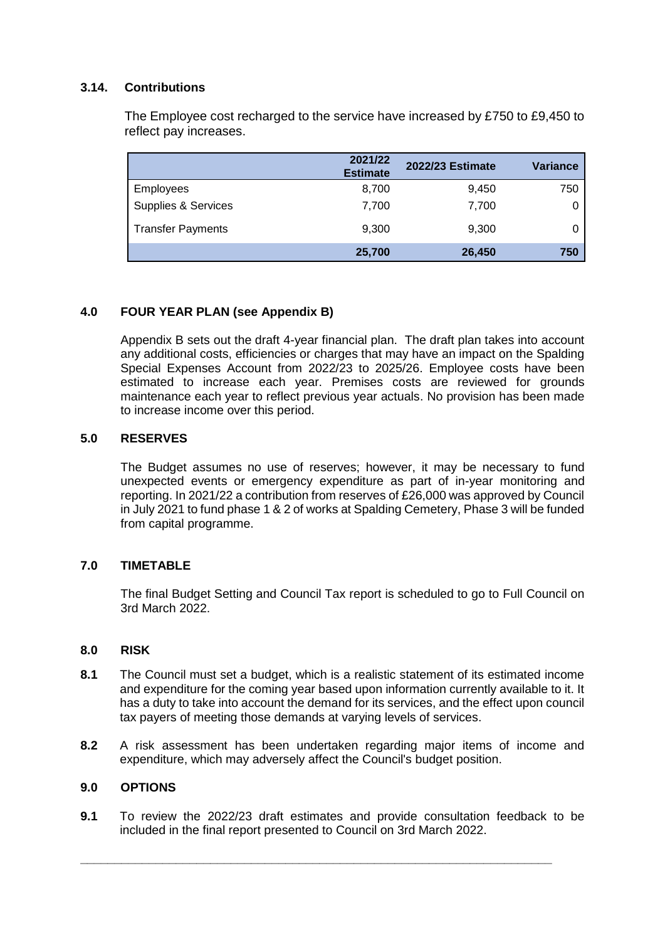## **3.14. Contributions**

The Employee cost recharged to the service have increased by £750 to £9,450 to reflect pay increases.

|                          | 2021/22<br><b>Estimate</b> | <b>2022/23 Estimate</b> | Variance |
|--------------------------|----------------------------|-------------------------|----------|
| Employees                | 8,700                      | 9,450                   | 750      |
| Supplies & Services      | 7,700                      | 7,700                   |          |
| <b>Transfer Payments</b> | 9,300                      | 9,300                   |          |
|                          | 25,700                     | 26,450                  | 750      |

## **4.0 FOUR YEAR PLAN (see Appendix B)**

Appendix B sets out the draft 4-year financial plan. The draft plan takes into account any additional costs, efficiencies or charges that may have an impact on the Spalding Special Expenses Account from 2022/23 to 2025/26. Employee costs have been estimated to increase each year. Premises costs are reviewed for grounds maintenance each year to reflect previous year actuals. No provision has been made to increase income over this period.

## **5.0 RESERVES**

The Budget assumes no use of reserves; however, it may be necessary to fund unexpected events or emergency expenditure as part of in-year monitoring and reporting. In 2021/22 a contribution from reserves of £26,000 was approved by Council in July 2021 to fund phase 1 & 2 of works at Spalding Cemetery, Phase 3 will be funded from capital programme.

## **7.0 TIMETABLE**

The final Budget Setting and Council Tax report is scheduled to go to Full Council on 3rd March 2022.

## **8.0 RISK**

- **8.1** The Council must set a budget, which is a realistic statement of its estimated income and expenditure for the coming year based upon information currently available to it. It has a duty to take into account the demand for its services, and the effect upon council tax payers of meeting those demands at varying levels of services.
- **8.2** A risk assessment has been undertaken regarding major items of income and expenditure, which may adversely affect the Council's budget position.

## **9.0 OPTIONS**

**9.1** To review the 2022/23 draft estimates and provide consultation feedback to be included in the final report presented to Council on 3rd March 2022.

**\_\_\_\_\_\_\_\_\_\_\_\_\_\_\_\_\_\_\_\_\_\_\_\_\_\_\_\_\_\_\_\_\_\_\_\_\_\_\_\_\_\_\_\_\_\_\_\_\_\_\_\_\_\_\_\_\_\_\_\_\_\_\_\_\_\_\_\_\_**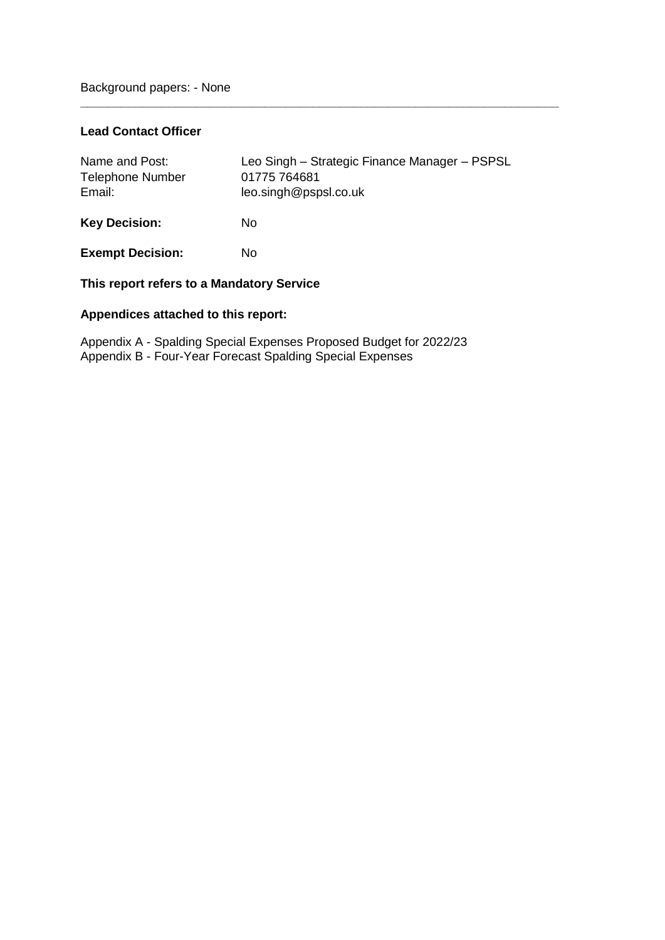## **Lead Contact Officer**

| Name and Post:<br><b>Telephone Number</b><br>Email: | Leo Singh - Strategic Finance Manager - PSPSL<br>01775 764681<br>leo.singh@pspsl.co.uk |
|-----------------------------------------------------|----------------------------------------------------------------------------------------|
| <b>Key Decision:</b>                                | No                                                                                     |
| <b>Exempt Decision:</b>                             | No                                                                                     |

**\_\_\_\_\_\_\_\_\_\_\_\_\_\_\_\_\_\_\_\_\_\_\_\_\_\_\_\_\_\_\_\_\_\_\_\_\_\_\_\_\_\_\_\_\_\_\_\_\_\_\_\_\_\_\_\_\_\_\_\_\_\_\_\_\_\_\_\_\_\_**

## **This report refers to a Mandatory Service**

## **Appendices attached to this report:**

Appendix A - Spalding Special Expenses Proposed Budget for 2022/23 Appendix B - Four-Year Forecast Spalding Special Expenses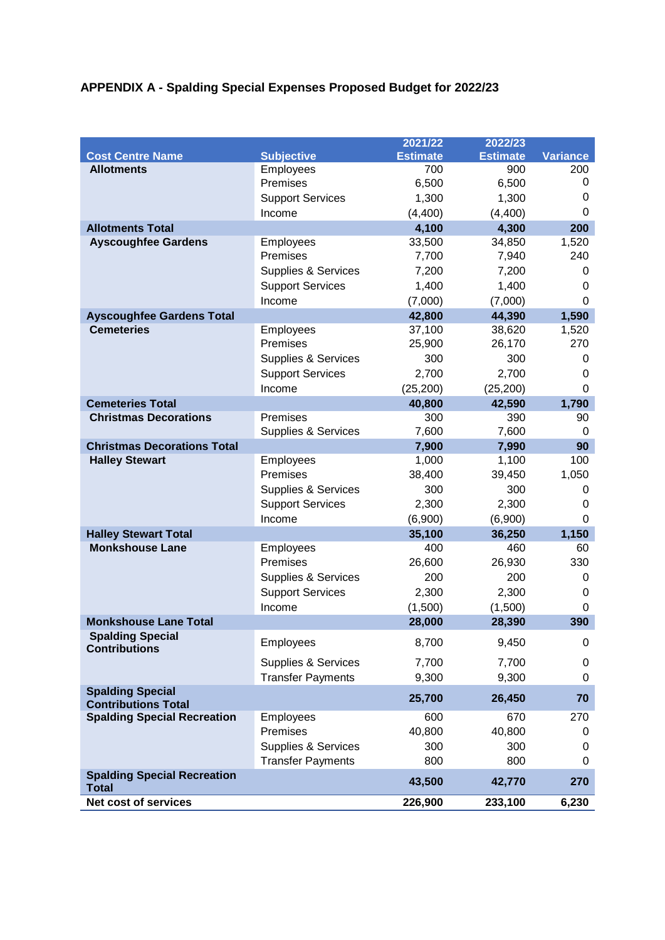# **APPENDIX A - Spalding Special Expenses Proposed Budget for 2022/23**

|                                                    |                                | 2021/22         | 2022/23         |                 |
|----------------------------------------------------|--------------------------------|-----------------|-----------------|-----------------|
| <b>Cost Centre Name</b>                            | <b>Subjective</b>              | <b>Estimate</b> | <b>Estimate</b> | <b>Variance</b> |
| <b>Allotments</b>                                  | Employees                      | 700             | 900             | 200             |
|                                                    | Premises                       | 6,500           | 6,500           | 0               |
|                                                    | <b>Support Services</b>        | 1,300           | 1,300           | 0               |
|                                                    | Income                         | (4,400)         | (4,400)         | 0               |
| <b>Allotments Total</b>                            |                                | 4,100           | 4,300           | 200             |
| <b>Ayscoughfee Gardens</b>                         | Employees                      | 33,500          | 34,850          | 1,520           |
|                                                    | Premises                       | 7,700           | 7,940           | 240             |
|                                                    | <b>Supplies &amp; Services</b> | 7,200           | 7,200           | 0               |
|                                                    | <b>Support Services</b>        | 1,400           | 1,400           | 0               |
|                                                    | Income                         | (7,000)         | (7,000)         | $\Omega$        |
| <b>Ayscoughfee Gardens Total</b>                   |                                | 42,800          | 44,390          | 1,590           |
| <b>Cemeteries</b>                                  | Employees                      | 37,100          | 38,620          | 1,520           |
|                                                    | Premises                       | 25,900          | 26,170          | 270             |
|                                                    | <b>Supplies &amp; Services</b> | 300             | 300             | 0               |
|                                                    | <b>Support Services</b>        | 2,700           | 2,700           | 0               |
|                                                    | Income                         | (25, 200)       | (25, 200)       | $\Omega$        |
| <b>Cemeteries Total</b>                            |                                | 40,800          | 42,590          | 1,790           |
| <b>Christmas Decorations</b>                       | Premises                       | 300             | 390             | 90              |
|                                                    | <b>Supplies &amp; Services</b> | 7,600           | 7,600           | 0               |
| <b>Christmas Decorations Total</b>                 |                                | 7,900           | 7,990           | 90              |
| <b>Halley Stewart</b>                              | Employees                      | 1,000           | 1,100           | 100             |
|                                                    | Premises                       | 38,400          | 39,450          | 1,050           |
|                                                    | Supplies & Services            | 300             | 300             | 0               |
|                                                    | <b>Support Services</b>        | 2,300           | 2,300           | 0               |
|                                                    | Income                         | (6,900)         | (6,900)         | 0               |
| <b>Halley Stewart Total</b>                        |                                | 35,100          | 36,250          | 1,150           |
| <b>Monkshouse Lane</b>                             | Employees                      | 400             | 460             | 60              |
|                                                    | Premises                       | 26,600          | 26,930          | 330             |
|                                                    | <b>Supplies &amp; Services</b> | 200             | 200             | 0               |
|                                                    | <b>Support Services</b>        | 2,300           | 2,300           | 0               |
|                                                    | Income                         | (1,500)         | (1,500)         | 0               |
| <b>Monkshouse Lane Total</b>                       |                                | 28,000          | 28,390          | 390             |
| <b>Spalding Special</b>                            |                                |                 |                 |                 |
| <b>Contributions</b>                               | Employees                      | 8,700           | 9,450           | 0               |
|                                                    | Supplies & Services            | 7,700           | 7,700           | 0               |
|                                                    | <b>Transfer Payments</b>       | 9,300           | 9,300           | 0               |
| <b>Spalding Special</b>                            |                                | 25,700          | 26,450          | 70              |
| <b>Contributions Total</b>                         |                                |                 |                 |                 |
| <b>Spalding Special Recreation</b>                 | Employees                      | 600             | 670             | 270             |
|                                                    | Premises                       | 40,800          | 40,800          | 0               |
|                                                    | Supplies & Services            | 300             | 300             | 0               |
|                                                    | <b>Transfer Payments</b>       | 800             | 800             | 0               |
| <b>Spalding Special Recreation</b><br><b>Total</b> |                                | 43,500          | 42,770          | 270             |
| <b>Net cost of services</b>                        |                                | 226,900         | 233,100         | 6,230           |